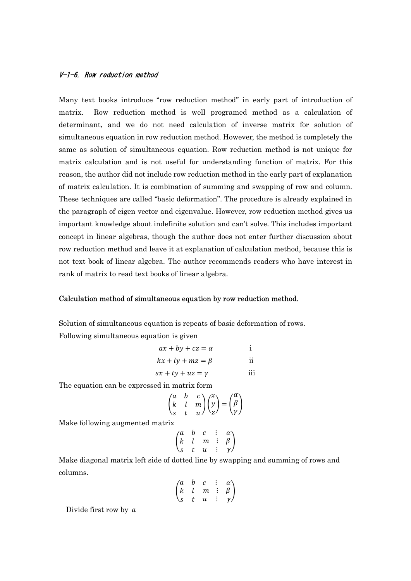## V-1-6. Row reduction method

Many text books introduce "row reduction method" in early part of introduction of matrix. Row reduction method is well programed method as a calculation of determinant, and we do not need calculation of inverse matrix for solution of simultaneous equation in row reduction method. However, the method is completely the same as solution of simultaneous equation. Row reduction method is not unique for matrix calculation and is not useful for understanding function of matrix. For this reason, the author did not include row reduction method in the early part of explanation of matrix calculation. It is combination of summing and swapping of row and column. These techniques are called "basic deformation". The procedure is already explained in the paragraph of eigen vector and eigenvalue. However, row reduction method gives us important knowledge about indefinite solution and can't solve. This includes important concept in linear algebras, though the author does not enter further discussion about row reduction method and leave it at explanation of calculation method, because this is not text book of linear algebra. The author recommends readers who have interest in rank of matrix to read text books of linear algebra.

### Calculation method of simultaneous equation by row reduction method.

Solution of simultaneous equation is repeats of basic deformation of rows. Following simultaneous equation is given

$$
ax + by + cz = \alpha \qquad \text{i}
$$
  

$$
kx + ly + mz = \beta \qquad \text{ii}
$$

$$
sx + ty + uz = \gamma
$$
iii

The equation can be expressed in matrix form

$$
\begin{pmatrix} a & b & c \\ k & l & m \\ s & t & u \end{pmatrix} \begin{pmatrix} x \\ y \\ z \end{pmatrix} = \begin{pmatrix} \alpha \\ \beta \\ \gamma \end{pmatrix}
$$

Make following augmented matrix

$$
\begin{pmatrix} a & b & c & \vdots & \alpha \\ k & l & m & \vdots & \beta \\ s & t & u & \vdots & \gamma \end{pmatrix}
$$

Make diagonal matrix left side of dotted line by swapping and summing of rows and columns.

$$
\begin{pmatrix} a & b & c & \vdots & \alpha \\ k & l & m & \vdots & \beta \\ s & t & u & \vdots & \gamma \end{pmatrix}
$$

Divide first row by a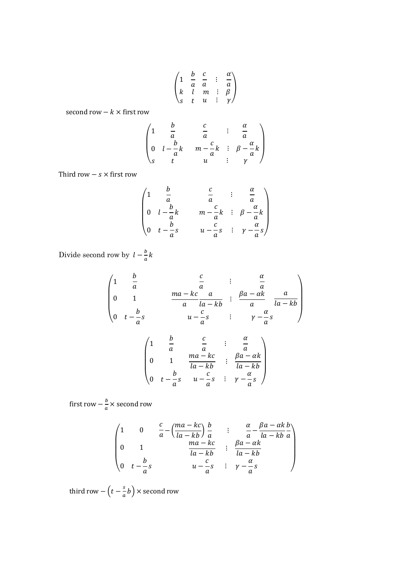$$
\begin{pmatrix}\n1 & \frac{b}{a} & \frac{c}{a} & \vdots & \frac{\alpha}{a} \\
k & l & m & \vdots & \beta \\
s & t & u & \vdots & \gamma\n\end{pmatrix}
$$

second row  $-k \times$  first row

$$
\begin{pmatrix}\n1 & \frac{b}{a} & \frac{c}{a} & \vdots & \frac{\alpha}{a} \\
0 & l - \frac{b}{a}k & m - \frac{c}{a}k & \vdots & \beta - \frac{\alpha}{a}k \\
s & t & u & \vdots & \gamma\n\end{pmatrix}
$$

Third row  $- s \times$  first row

$$
\begin{pmatrix}\n1 & \frac{b}{a} & \frac{c}{a} & \vdots & \frac{\alpha}{a} \\
0 & l - \frac{b}{a}k & m - \frac{c}{a}k & \vdots & \beta - \frac{\alpha}{a}k \\
0 & t - \frac{b}{a}s & u - \frac{c}{a}s & \vdots & \gamma - \frac{\alpha}{a}s\n\end{pmatrix}
$$

Divide second row by  $l-\frac{b}{a}$  $\frac{b}{a}k$ 

$$
\begin{pmatrix}\n1 & \frac{b}{a} & \frac{c}{a} & \vdots & \frac{\alpha}{a} \\
0 & 1 & \frac{ma - kc}{a} & \frac{a}{la - kb} & \frac{ba - \alpha k}{a} & \frac{a}{la - kb} \\
0 & t - \frac{b}{a}s & u - \frac{c}{a}s & \vdots & \gamma - \frac{\alpha}{a}s\n\end{pmatrix}
$$

$$
\begin{pmatrix}\n1 & \frac{b}{a} & \frac{c}{a} & \vdots & \frac{\alpha}{a} \\
0 & 1 & \frac{ma - kc}{la - kb} & \vdots & \frac{\beta a - \alpha k}{la - kb} \\
0 & t - \frac{b}{a}s & u - \frac{c}{a}s & \vdots & \gamma - \frac{\alpha}{a}s\n\end{pmatrix}
$$

first row  $-\frac{b}{a} \times$  second row

$$
\begin{pmatrix}\n1 & 0 & \frac{c}{a} - \left(\frac{ma - kc}{la - kb}\right) \frac{b}{a} & \vdots & \frac{\alpha}{a} - \frac{\beta a - \alpha k}{la - kb} \\
0 & 1 & \frac{ma - kc}{la - kb} & \vdots & \frac{\beta a - \alpha k}{la - kb} \\
0 & t - \frac{b}{a}s & u - \frac{c}{a}s & \vdots & \gamma - \frac{\alpha}{a}s\n\end{pmatrix}
$$

third row  $-\left(t-\frac{s}{a}\right)$  $\left(\frac{s}{a}b\right)$  × second row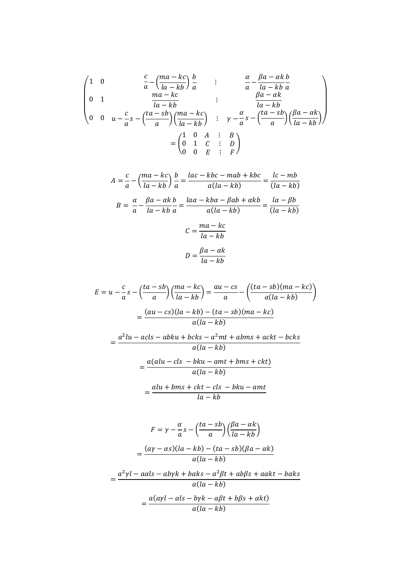$$
\begin{pmatrix}\n1 & 0 & \frac{c}{a} - \left(\frac{ma - kc}{la - kb}\right) \frac{b}{a} & \vdots & \frac{\alpha}{a} - \frac{\beta a - \alpha k}{la - kb} \\
0 & 1 & \frac{ma - kc}{la - kb} & \vdots & \frac{\beta a - \alpha k}{la - kb} \\
0 & 0 & u - \frac{c}{a}s - \left(\frac{ta - sb}{a}\right)\left(\frac{ma - kc}{la - kb}\right) & \vdots & \gamma - \frac{\alpha}{a}s - \left(\frac{ta - sb}{a}\right)\left(\frac{\beta a - \alpha k}{la - kb}\right) \\
0 & 0 & u - \frac{c}{a}s - \left(\frac{ta - sb}{a}\right)\left(\frac{ma - kc}{la - kb}\right) & \vdots & \gamma - \frac{\alpha}{a}s - \left(\frac{ta - sb}{a}\right)\left(\frac{\beta a - \alpha k}{la - kb}\right)\n\end{pmatrix}
$$

$$
A = \frac{c}{a} - \left(\frac{ma - kc}{la - kb}\right)\frac{b}{a} = \frac{lac - kbc - mab + kbc}{a(la - kb)} = \frac{lc - mb}{(la - kb)}
$$

$$
B = \frac{\alpha}{a} - \frac{\beta a - \alpha k}{la - kb}\frac{b}{a} = \frac{la - \beta ab - \alpha b}{a(la - kb)} = \frac{la - \beta b}{(la - kb)}
$$

$$
C = \frac{ma - kc}{la - kb}
$$

$$
D = \frac{\beta a - \alpha k}{la - kb}
$$

$$
E = u - \frac{c}{a}s - \left(\frac{ta - sb}{a}\right)\left(\frac{ma - kc}{la - kb}\right) = \frac{au - cs}{a} - \left(\frac{(ta - sb)(ma - kc)}{a(la - kb)}\right)
$$

$$
= \frac{(au - cs)(la - kb) - (ta - sb)(ma - kc)}{a(la - kb)}
$$

$$
a^2lu - acls - abku + bcks - a^2mt + abms + ackt - bcks
$$

$$
= \frac{a^2lu - acls - abku + bcks - a^2mt + abms + ackt - bcks}{a(la - kb)}
$$

$$
= \frac{a(alu - cls - bku - amt + bms + ckt)}{a(la - kb)}
$$

$$
= \frac{alu + bms + ckt - cls - bku - amt}{la - kb}
$$

$$
F = \gamma - \frac{\alpha}{a}s - \left(\frac{ta - sb}{a}\right)\left(\frac{\beta a - \alpha k}{la - kb}\right)
$$

$$
= \frac{(\alpha \gamma - \alpha s)(la - kb) - (ta - sb)(\beta a - \alpha k)}{a(la - kb)}
$$

$$
= \frac{a^2 \gamma l - a\alpha ls - ab\gamma k + b\alpha ks - a^2 \beta t + ab\beta s + a\alpha kt - b\alpha ks}{a(la - kb)}
$$

$$
= \frac{a(\alpha \gamma l - \alpha ls - b\gamma k - a\beta t + b\beta s + \alpha kt)}{a(la - kb)}
$$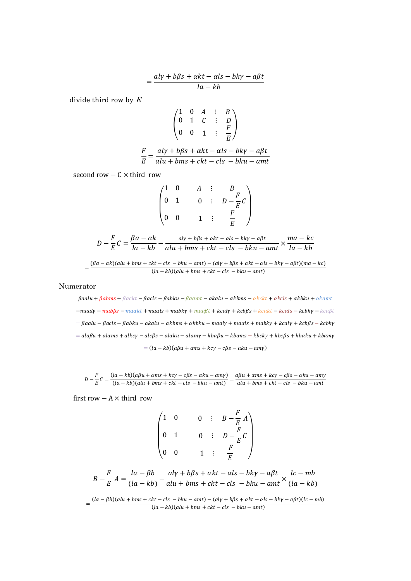$$
=\frac{al\gamma+b\beta s+\alpha kt-\alpha ls-bk\gamma-a\beta t}{la-kb}
$$

divide third row by  $E$ 

$$
\begin{pmatrix}\n1 & 0 & A & \vdots & B \\
0 & 1 & C & \vdots & D \\
0 & 0 & 1 & \vdots & \frac{F}{E}\n\end{pmatrix}
$$
\n
$$
\frac{F}{E} = \frac{aly + b\beta s + akt - als - bky - a\beta t}{alu + bms + ckt - cls - bku - amt}
$$

second row  $- C \times$  third row

|                  | $\boldsymbol{0}$ |                |   |                    |
|------------------|------------------|----------------|---|--------------------|
| $\mathbf{0}$     | $\mathbf{1}$     | $\overline{0}$ | ÷ | $D-\frac{F}{E}C$   |
| $\boldsymbol{0}$ | $\boldsymbol{0}$ |                |   | F<br>$\frac{1}{F}$ |

$$
D - \frac{F}{E}C = \frac{\beta a - \alpha k}{la - kb} - \frac{aly + b\beta s + \alpha kt - \alpha ls - bky - a\beta t}{alu + bms + ckt - cls - bku - amt} \times \frac{ma - kc}{la - kb}
$$

$$
= \frac{(\beta a - \alpha k)(alu + bms + ckt - cls - bku - amt) - (aly + b\beta s + \alpha kt - \alpha ls - bky - a\beta t)(ma - kc)}{(la - kb)(alu + bms + ckt - cls - bku - amt)}
$$

Numerator

 $\beta$ aalu +  $\beta$ abms +  $\beta$ ackt –  $\beta$ acls –  $\beta$ abku –  $\beta$ aamt –  $\alpha$ kalu –  $\alpha$ kbms –  $\alpha$ kckt +  $\alpha$ kcls +  $\alpha$ kbku +  $\alpha$ kamt  $-maaly-mab\beta s-maakt+maals+mabky+maabt+kcaly+kcb\beta s+kcakt-kcals-kcbky-kca\beta t$  $=$   $\beta$ aalu  $-\beta$ acls  $-\beta$ abku  $-\alpha$ kalu  $-\alpha$ kbms  $+\alpha$ kbku  $-\alpha$ aaly  $+\alpha$ aals  $+\alpha$ abky  $+\alpha$ aly  $+\alpha$ b $\beta$ s  $-\alpha$ kcbky  $= ala\beta u + alams + alkcy - alc\beta s - alaku - alamy - kba\beta u - kbams - kbcky + kbc\beta s + kbaku + kbamy$  $=(la - kb)(a\beta u + \alpha ms + kcy - c\beta s - \alpha ku - am\gamma)$ 

 $D - \frac{F}{E}C = \frac{(la - kb)(a\beta u + \alpha ms + kcy - c\beta s - \alpha ku - am\gamma)}{(la - kb)(alu + bms + ckt - cls - bku - amt)} = \frac{a\beta u + \alpha ms + kcy - c\beta s - \alpha ku - am\gamma}{alu + bms + ckt - cls - bku - amt}$ 

first row  $- A \times$  third row

$$
\begin{pmatrix}\n1 & 0 & 0 & \vdots & B - \frac{F}{E} A \\
0 & 1 & 0 & \vdots & D - \frac{F}{E} C \\
0 & 0 & 1 & \vdots & \frac{F}{E}\n\end{pmatrix}
$$

$$
B - \frac{F}{E}A = \frac{la - \beta b}{(la - kb)} - \frac{aly + b\beta s + akt - als - bky - a\beta t}{alu + bms + ckt - cls - bku - amt} \times \frac{lc - mb}{(la - kb)}
$$

$$
=\frac{(la-\beta b)(alu + bms + ckt - cls - bku - amt) - (aly + b\beta s + akt - als - bky - a\beta t)(lc - mb)}{(la - kb)(alu + bms + ckt - cls - bku - amt)}
$$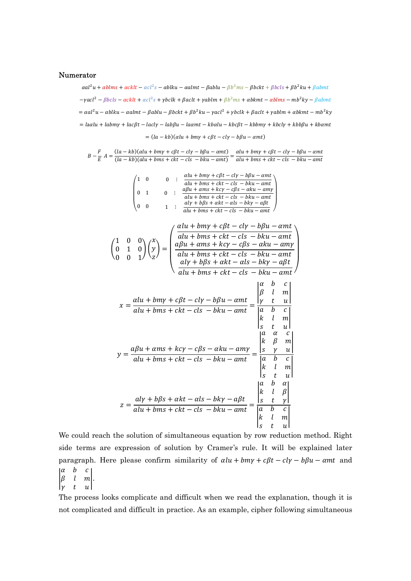#### Numerator

 $\alpha a l^2 u + \alpha b l m s + \alpha c k l t - \alpha c l^2 s - \alpha b l k u - \alpha a l m t - \beta b l u - \beta b^2 m s - \beta b c k t + \beta b c l s + \beta b^2 k u + \beta a b m t$  $-\gamma a c l^2 - \beta b c l s - \alpha c k l t + \alpha c l^2 s + \gamma b c l k + \beta a c l t + \gamma a b l m + \beta b^2 m s + \alpha b k m t - \alpha b l m s - m b^2 k y - \beta a b m t$  $= \alpha a l^2 u - \alpha b l k u - \alpha a l m t - \beta a b l u - \beta b c k t + \beta b^2 k u - \gamma a c l^2 + \gamma b c l k + \beta a c l t + \gamma a b l m + \alpha b k m t - m b^2 k y$  $=$   $\alpha$   $\alpha$   $+$   $\alpha$   $\beta$   $+$   $\alpha$   $\beta$   $\alpha$   $\alpha$   $\alpha$   $\beta$   $\alpha$   $\alpha$   $\alpha$   $\beta$   $\alpha$   $\beta$   $\alpha$   $\beta$   $\alpha$   $\beta$   $\alpha$   $\beta$   $\alpha$   $\beta$   $\alpha$   $\beta$   $\alpha$   $\beta$   $\alpha$   $\beta$   $\alpha$   $\$  $=(la - kb)(\alpha lu + bmy + c\beta t - cly - b\beta u - \alpha mt)$ 

 $B-\frac{F}{F}$  $\frac{F}{E} A = \frac{(la - kb)(\alpha lu + bmy + c\beta t - cly - b\beta u - \alpha mt)}{(\alpha - kb)(\alpha lu + bms + ckt - cls - bku - \alpha mt)}$  $(la - kb)(\alpha lu + bmy + c\beta t - cl\gamma - b\beta u - \alpha mt) = \alpha lu + bmy + c\beta t - cl\gamma - b\beta u - \alpha mt$ <br>  $(la - kb)(alu + bms + ckt - cls - bku - \alpha mt) = \alpha lu + bms + ckt - cls - bku - \alpha mt$  $alu + bms + ckt - cls - bku - amt$ 



We could reach the solution of simultaneous equation by row reduction method. Right side terms are expression of solution by Cramer's rule. It will be explained later paragraph. Here please confirm similarity of  $\alpha l u + b m v + c \beta t - c l v - b \beta u - \alpha m t$  and  $\boldsymbol{b}$ 

 $\begin{vmatrix} \beta & l & m \\ \gamma & t & u \end{vmatrix}$ .

The process looks complicate and difficult when we read the explanation, though it is not complicated and difficult in practice. As an example, cipher following simultaneous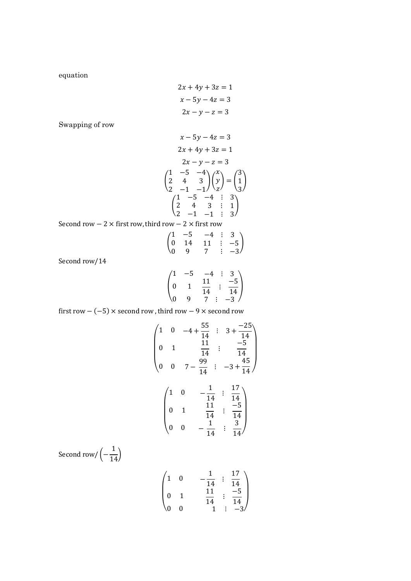equation

$$
2x + 4y + 3z = 1
$$

$$
x - 5y - 4z = 3
$$

$$
2x - y - z = 3
$$

Swapping of row

$$
x - 5y - 4z = 3
$$
  
\n
$$
2x + 4y + 3z = 1
$$
  
\n
$$
2x - y - z = 3
$$
  
\n
$$
\begin{pmatrix} 1 & -5 & -4 \\ 2 & 4 & 3 \\ 2 & -1 & -1 \end{pmatrix} \begin{pmatrix} x \\ y \\ z \end{pmatrix} = \begin{pmatrix} 3 \\ 1 \\ 3 \end{pmatrix}
$$
  
\n
$$
\begin{pmatrix} 1 & -5 & -4 & \vdots & 3 \\ 2 & 4 & 3 & \vdots & 1 \\ 2 & -1 & -1 & \vdots & 3 \end{pmatrix}
$$

Second row  $-2 \times$  first row, third row  $-2 \times$  first row

$$
\begin{pmatrix} 1 & -5 & -4 & \vdots & 3 \\ 0 & 14 & 11 & \vdots & -5 \\ 0 & 9 & 7 & \vdots & -3 \end{pmatrix}
$$

Second row/14

$$
\begin{pmatrix} 1 & -5 & -4 & \vdots & 3 \\ 0 & 1 & \frac{11}{14} & \vdots & \frac{-5}{14} \\ 0 & 9 & 7 & \vdots & -3 \end{pmatrix}
$$

first row  $-(-5) \times$  second row , third row  $-9 \times$  second row

$$
\begin{pmatrix}\n1 & 0 & -4 + \frac{55}{14} & \vdots & 3 + \frac{-25}{14} \\
0 & 1 & \frac{11}{14} & \vdots & \frac{-5}{14} \\
0 & 0 & 7 - \frac{99}{14} & \vdots & -3 + \frac{45}{14}\n\end{pmatrix}
$$
\n
$$
\begin{pmatrix}\n1 & 0 & -\frac{1}{14} & \vdots & \frac{17}{14} \\
0 & 1 & \frac{11}{14} & \vdots & \frac{-5}{14} \\
0 & 0 & -\frac{1}{14} & \vdots & \frac{3}{14}\n\end{pmatrix}
$$
\nSecond row/ $\left(-\frac{1}{14}\right)$ 

$$
\begin{pmatrix} 1 & 0 & -\frac{1}{14} & \vdots & \frac{17}{14} \\ 0 & 1 & \frac{11}{14} & \vdots & \frac{-5}{14} \\ 0 & 0 & 1 & \vdots & -3 \end{pmatrix}
$$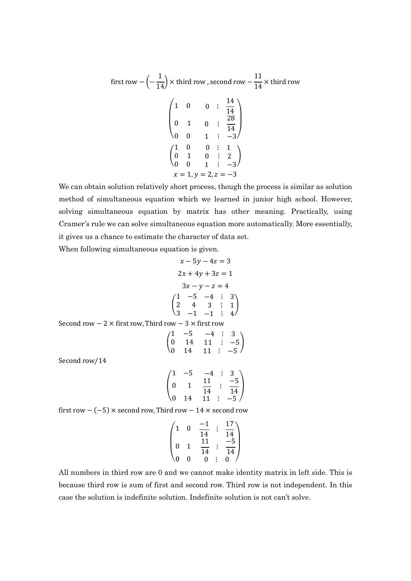first row 
$$
-\left(-\frac{1}{14}\right) \times
$$
 third row, second row  $-\frac{11}{14} \times$  third row  
\n
$$
\begin{pmatrix}\n1 & 0 & 0 & \vdots & \frac{14}{14} \\
0 & 1 & 0 & \vdots & \frac{28}{14} \\
0 & 0 & 1 & \vdots & -3\n\end{pmatrix}
$$
\n
$$
\begin{pmatrix}\n1 & 0 & 0 & \vdots & 1 \\
0 & 1 & 0 & \vdots & 2 \\
0 & 0 & 1 & \vdots & -3\n\end{pmatrix}
$$
\n $x = 1, y = 2, z = -3$ 

We can obtain solution relatively short process, though the process is similar as solution method of simultaneous equation which we learned in junior high school. However, solving simultaneous equation by matrix has other meaning. Practically, using Cramer's rule we can solve simultaneous equation more automatically. More essentially, it gives us a chance to estimate the character of data set.

When following simultaneous equation is given.

$$
x - 5y - 4z = 3
$$
  
\n
$$
2x + 4y + 3z = 1
$$
  
\n
$$
3x - y - z = 4
$$
  
\n
$$
\begin{pmatrix}\n1 & -5 & -4 & \vdots & 3 \\
2 & 4 & 3 & \vdots & 1 \\
3 & -1 & -1 & \vdots & 4\n\end{pmatrix}
$$
  
\nSecond row – 2 × first row, Third row – 3 × first row  
\n
$$
\begin{pmatrix}\n1 & -5 & -4 & \vdots & 3 \\
0 & 14 & 11 & \vdots & -5 \\
0 & 14 & 11 & \vdots & -5\n\end{pmatrix}
$$
  
\nSecond row/14  
\n
$$
\begin{pmatrix}\n1 & -5 & 4 & \vdots & 3 \\
0 & -5 & 4 & \vdots & 3\n\end{pmatrix}
$$

Second row

$$
\begin{pmatrix} 1 & -5 & -4 & \vdots & 3 \\ 0 & 1 & \frac{11}{14} & \vdots & \frac{-5}{14} \\ 0 & 14 & 11 & \vdots & -5 \end{pmatrix}
$$

first row  $-$  (-5)  $\times$  second row, Third row - 14  $\times$  second row

$$
\begin{pmatrix} 1 & 0 & \frac{-1}{14} & \vdots & \frac{17}{14} \\ 0 & 1 & \frac{11}{14} & \vdots & \frac{-5}{14} \\ 0 & 0 & 0 & \vdots & 0 \end{pmatrix}
$$

All numbers in third row are 0 and we cannot make identity matrix in left side. This is because third row is sum of first and second row. Third row is not independent. In this case the solution is indefinite solution. Indefinite solution is not can't solve.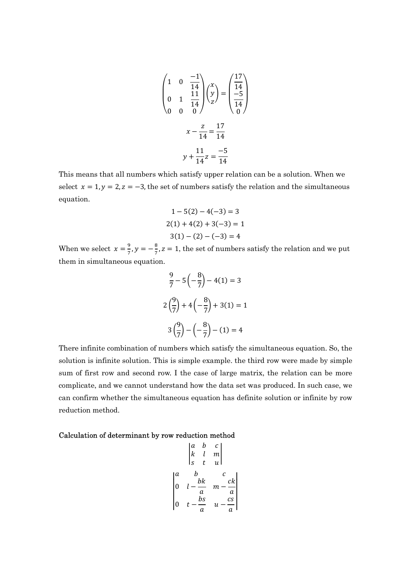$$
\begin{pmatrix} 1 & 0 & \frac{-1}{14} \\ 0 & 1 & \frac{11}{14} \\ 0 & 0 & 0 \end{pmatrix} \begin{pmatrix} x \\ y \\ z \end{pmatrix} = \begin{pmatrix} \frac{17}{14} \\ -5 \\ \frac{-5}{14} \end{pmatrix}
$$

$$
x - \frac{z}{14} = \frac{17}{14}
$$

$$
y + \frac{11}{14}z = \frac{-5}{14}
$$

This means that all numbers which satisfy upper relation can be a solution. When we select  $x = 1$ ,  $y = 2$ ,  $z = -3$ , the set of numbers satisfy the relation and the simultaneous equation.

$$
1 - 5(2) - 4(-3) = 3
$$
  
2(1) + 4(2) + 3(-3) = 1  
3(1) - (2) - (-3) = 4

When we select  $x = \frac{9}{7}$  $\frac{9}{7}$ ,  $y = -\frac{8}{7}$  $\frac{8}{7}$ , z = 1, the set of numbers satisfy the relation and we put them in simultaneous equation.

$$
\frac{9}{7} - 5\left(-\frac{8}{7}\right) - 4(1) = 3
$$

$$
2\left(\frac{9}{7}\right) + 4\left(-\frac{8}{7}\right) + 3(1) = 1
$$

$$
3\left(\frac{9}{7}\right) - \left(-\frac{8}{7}\right) - (1) = 4
$$

There infinite combination of numbers which satisfy the simultaneous equation. So, the solution is infinite solution. This is simple example. the third row were made by simple sum of first row and second row. I the case of large matrix, the relation can be more complicate, and we cannot understand how the data set was produced. In such case, we can confirm whether the simultaneous equation has definite solution or infinite by row reduction method.

## Calculation of determinant by row reduction method

$$
\begin{vmatrix} a & b & c \\ k & l & m \\ s & t & u \end{vmatrix}
$$

$$
\begin{vmatrix} a & b & c \\ 0 & l - \frac{bk}{a} & m - \frac{ck}{a} \\ 0 & t - \frac{bs}{a} & u - \frac{cs}{a} \end{vmatrix}
$$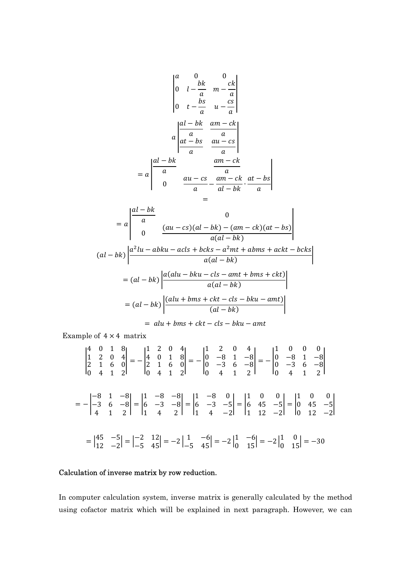$$
\begin{vmatrix} a & 0 & 0 \ 0 & l - \frac{bk}{a} & m - \frac{ck}{a} \\ 0 & t - \frac{bs}{a} & u - \frac{cs}{a} \end{vmatrix}
$$
  

$$
= a \begin{vmatrix} \frac{al - bk}{a} & \frac{am - ck}{a} \\ \frac{al - bk}{a} & \frac{au - cs}{a} \end{vmatrix}
$$
  

$$
= a \begin{vmatrix} \frac{al - bk}{a} & \frac{am - ck}{a} \\ 0 & \frac{au - cs}{a} - \frac{am - ck}{al - bk} \cdot \frac{at - bs}{a} \\ = a \end{vmatrix}
$$

$$
= a \begin{vmatrix} \frac{al-bk}{a} & 0 \\ 0 & \frac{(au-cs)(al-bk) - (am-ck)(at-bs)}{a(al-bk} \end{vmatrix}
$$
  
(al-bk)
$$
\begin{vmatrix} \frac{a^2lu - abku - acls + bcks - a^2mt + abms + ackt - bcks}{a(al-bk)} \end{vmatrix}
$$
  

$$
= (al-bk) \begin{vmatrix} \frac{a(alu - bku - cls - amt + bms + ckt)}{a(al-bk)} \end{vmatrix}
$$
  

$$
= (al-bk) \begin{vmatrix} \frac{(alu + bms + ckt - cls - bku - amt)}{(al-bk)} \end{vmatrix}
$$
  

$$
= alu + bms + ckt - cls - bku - amt
$$

Example of  $4 \times 4$  matrix

$$
\begin{vmatrix} 4 & 0 & 1 & 8 \ 1 & 2 & 0 & 4 \ 2 & 1 & 6 & 0 \ 0 & 4 & 1 & 2 \ \end{vmatrix} = - \begin{vmatrix} 1 & 2 & 0 & 4 \ 4 & 0 & 1 & 8 \ 2 & 1 & 6 & 0 \ 0 & 4 & 1 & 2 \ \end{vmatrix} = - \begin{vmatrix} 1 & 2 & 0 & 4 \ 0 & -8 & 1 & -8 \ 0 & -3 & 6 & -8 \ \end{vmatrix} = - \begin{vmatrix} 1 & 0 & 0 & 0 \ 0 & -8 & 1 & -8 \ 0 & -3 & 6 & -8 \ \end{vmatrix}
$$
  
=  $- \begin{vmatrix} -8 & 1 & -8 \ -3 & 6 & -8 \ 4 & 1 & 2 \ \end{vmatrix} = \begin{vmatrix} 1 & -8 & -8 \ 6 & -3 & -8 \ 1 & 4 & 2 \ \end{vmatrix} = \begin{vmatrix} 1 & -8 & 0 \ 6 & -3 & -5 \ 1 & 4 & -2 \ \end{vmatrix} = \begin{vmatrix} 1 & 0 & 0 \ 6 & 45 & -5 \ 1 & 12 & -2 \ \end{vmatrix} = \begin{vmatrix} 1 & 0 & 0 \ 0 & 45 & -5 \ 0 & 12 & -2 \ \end{vmatrix}$   
=  $\begin{vmatrix} 45 & -5 \ 12 & -2 \ \end{vmatrix} = \begin{vmatrix} -2 & 12 \ -5 & 45 \ \end{vmatrix} = -2 \begin{vmatrix} 1 & -6 \ -5 & 45 \ \end{vmatrix} = -2 \begin{vmatrix} 1 & -6 \ 0 & 15 \ \end{vmatrix} = -2 \begin{vmatrix} 1 & 0 \ 0 & 15 \ \end{vmatrix} = -30$ 

# Calculation of inverse matrix by row reduction.

In computer calculation system, inverse matrix is generally calculated by the method using cofactor matrix which will be explained in next paragraph. However, we can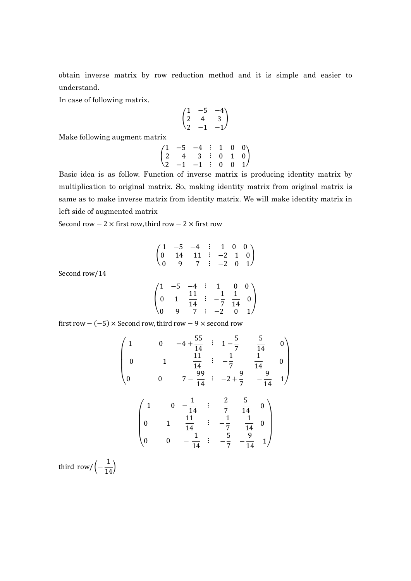obtain inverse matrix by row reduction method and it is simple and easier to understand.

In case of following matrix.

$$
\begin{pmatrix} 1 & -5 & -4 \ 2 & 4 & 3 \ 2 & -1 & -1 \end{pmatrix}
$$

Make following augment matrix

$$
\begin{pmatrix} 1 & -5 & -4 & \vdots & 1 & 0 & 0 \\ 2 & 4 & 3 & \vdots & 0 & 1 & 0 \\ 2 & -1 & -1 & \vdots & 0 & 0 & 1 \end{pmatrix}
$$

Basic idea is as follow. Function of inverse matrix is producing identity matrix by multiplication to original matrix. So, making identity matrix from original matrix is same as to make inverse matrix from identity matrix. We will make identity matrix in left side of augmented matrix

Second row  $-2 \times$  first row, third row  $-2 \times$  first row

$$
\begin{pmatrix} 1 & -5 & -4 & \vdots & 1 & 0 & 0 \\ 0 & 14 & 11 & \vdots & -2 & 1 & 0 \\ 0 & 9 & 7 & \vdots & -2 & 0 & 1 \end{pmatrix}
$$

Second row/14

$$
\begin{pmatrix} 1 & -5 & -4 & \vdots & 1 & 0 & 0 \\ 0 & 1 & \frac{11}{14} & \vdots & -\frac{1}{7} & \frac{1}{14} & 0 \\ 0 & 9 & 7 & \vdots & -2 & 0 & 1 \end{pmatrix}
$$

first row  $-(-5) \times$  Second row, third row  $-9 \times$  second row

$$
\begin{pmatrix}\n1 & 0 & -4 + \frac{55}{14} & \vdots & 1 - \frac{5}{7} & \frac{5}{14} & 0 \\
0 & 1 & \frac{11}{14} & \vdots & -\frac{1}{7} & \frac{1}{14} & 0 \\
0 & 0 & 7 - \frac{99}{14} & \vdots & -2 + \frac{9}{7} & -\frac{9}{14} & 1\n\end{pmatrix}
$$
\n
$$
\begin{pmatrix}\n1 & 0 & -\frac{1}{14} & \vdots & \frac{2}{7} & \frac{5}{14} & 0 \\
0 & 1 & \frac{11}{14} & \vdots & -\frac{1}{7} & \frac{1}{14} & 0 \\
0 & 0 & -\frac{1}{14} & \vdots & -\frac{5}{7} & -\frac{9}{14} & 1\n\end{pmatrix}
$$

third row/ $($  – 1  $\frac{1}{14}$